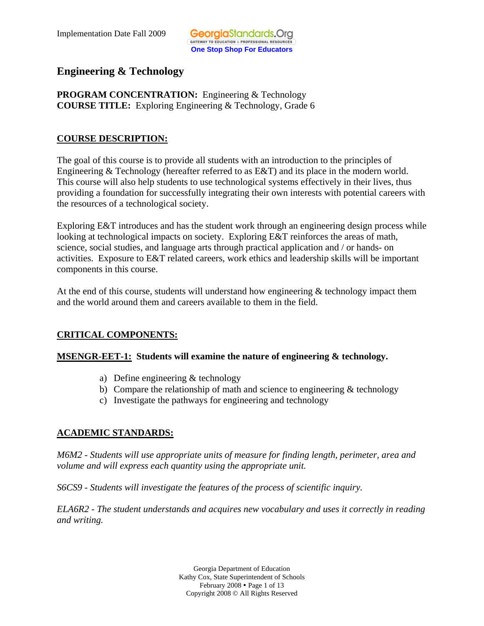# **Engineering & Technology**

**PROGRAM CONCENTRATION:** Engineering & Technology **COURSE TITLE:** Exploring Engineering & Technology, Grade 6

# **COURSE DESCRIPTION:**

The goal of this course is to provide all students with an introduction to the principles of Engineering & Technology (hereafter referred to as E&T) and its place in the modern world. This course will also help students to use technological systems effectively in their lives, thus providing a foundation for successfully integrating their own interests with potential careers with the resources of a technological society.

Exploring E&T introduces and has the student work through an engineering design process while looking at technological impacts on society. Exploring E&T reinforces the areas of math, science, social studies, and language arts through practical application and / or hands- on activities. Exposure to E&T related careers, work ethics and leadership skills will be important components in this course.

At the end of this course, students will understand how engineering  $\&$  technology impact them and the world around them and careers available to them in the field.

# **CRITICAL COMPONENTS:**

#### **COMPONEY ALTERT-1: Students will examine the nature of engineering & technology.**

- a) Define engineering & technology
- b) Compare the relationship of math and science to engineering  $&$  technology
- c) Investigate the pathways for engineering and technology

# **ACADEMIC STANDARDS:**

*M6M2 - Students will use appropriate units of measure for finding length, perimeter, area and volume and will express each quantity using the appropriate unit.* 

*S6CS9 - Students will investigate the features of the process of scientific inquiry.* 

*ELA6R2 - The student understands and acquires new vocabulary and uses it correctly in reading and writing.* 

> Georgia Department of Education Kathy Cox, State Superintendent of Schools February 2008 • Page 1 of 13 Copyright 2008 © All Rights Reserved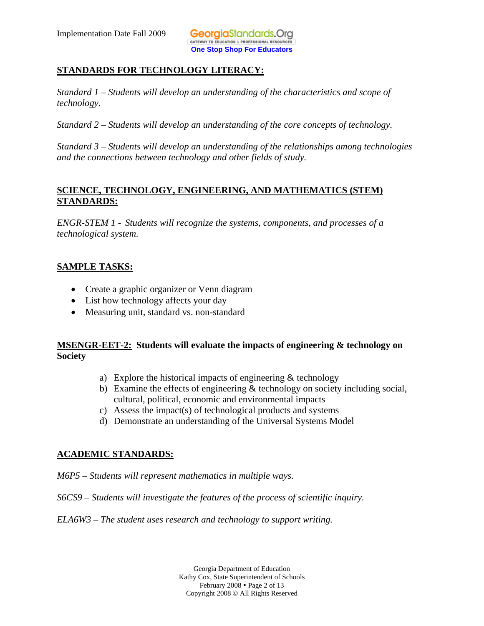# **STANDARDS FOR TECHNOLOGY LITERACY:**

*Standard 1 – Students will develop an understanding of the characteristics and scope of technology.* 

*Standard 2 – Students will develop an understanding of the core concepts of technology.* 

*Standard 3 – Students will develop an understanding of the relationships among technologies and the connections between technology and other fields of study.* 

# **SCIENCE, TECHNOLOGY, ENGINEERING, AND MATHEMATICS (STEM) STANDARDS:**

*ENGR-STEM 1 - Students will recognize the systems, components, and processes of a technological system.* 

#### **SAMPLE TASKS:**

- Create a graphic organizer or Venn diagram
- List how technology affects your day
- Measuring unit, standard vs. non-standard

#### **Society MSENGR-EET-2: Students will evaluate the impacts of engineering & technology on**

- a) Explore the historical impacts of engineering & technology
- b) Examine the effects of engineering  $&$  technology on society including social, cultural, political, economic and environmental impacts
- c) Assess the impact(s) of technological products and systems
- d) Demonstrate an understanding of the Universal Systems Model

# **ACADEMIC STANDARDS:**

*M6P5 – Students will represent mathematics in multiple ways.* 

*S6CS9 – Students will investigate the features of the process of scientific inquiry.* 

*ELA6W3 – The student uses research and technology to support writing.* 

Georgia Department of Education Kathy Cox, State Superintendent of Schools February 2008 • Page 2 of 13 Copyright 2008 © All Rights Reserved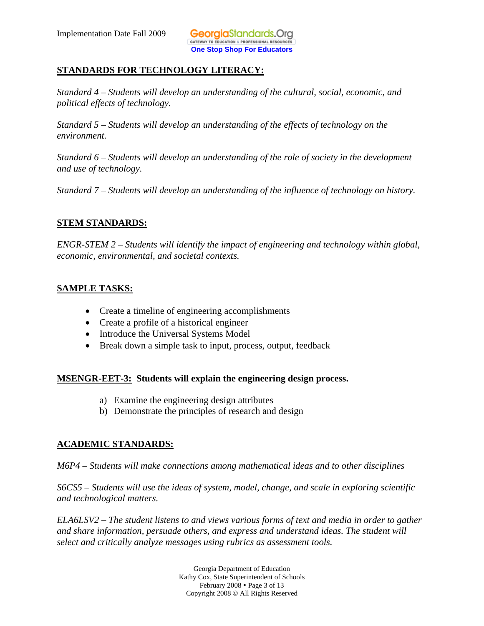# **STANDARDS FOR TECHNOLOGY LITERACY:**

*Standard 4 – Students will develop an understanding of the cultural, social, economic, and political effects of technology.* 

*Standard 5 – Students will develop an understanding of the effects of technology on the environment.* 

*Standard 6 – Students will develop an understanding of the role of society in the development and use of technology.* 

*Standard 7 – Students will develop an understanding of the influence of technology on history.* 

#### **STEM STANDARDS:**

*ENGR-STEM 2 – Students will identify the impact of engineering and technology within global, economic, environmental, and societal contexts.* 

#### **SAMPLE TASKS:**

- Create a timeline of engineering accomplishments
- Create a profile of a historical engineer
- Introduce the Universal Systems Model
- Break down a simple task to input, process, output, feedback

#### **MSENGR-EET-3: Students will explain the engineering design process.**

- a) Examine the engineering design attributes
- b) Demonstrate the principles of research and design

# **ACADEMIC STANDARDS:**

*M6P4 – Students will make connections among mathematical ideas and to other disciplines* 

*S6CS5 – Students will use the ideas of system, model, change, and scale in exploring scientific and technological matters.* 

*ELA6LSV2 – The student listens to and views various forms of text and media in order to gather and share information, persuade others, and express and understand ideas. The student will select and critically analyze messages using rubrics as assessment tools.* 

> Georgia Department of Education Kathy Cox, State Superintendent of Schools February 2008 • Page 3 of 13 Copyright 2008 © All Rights Reserved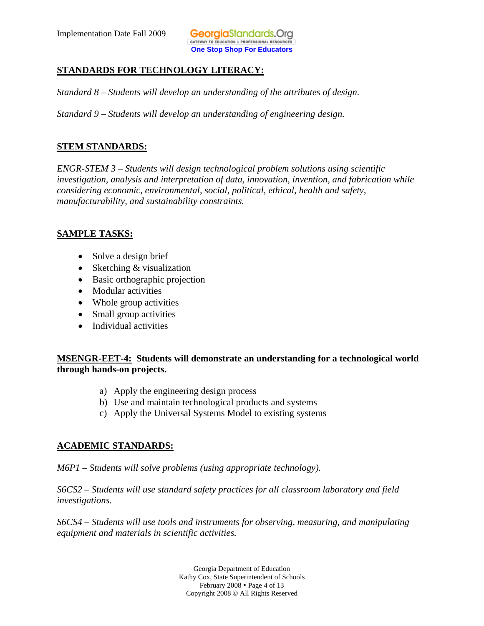#### **STANDARDS FOR TECHNOLOGY LITERACY:**

*Standard 8 – Students will develop an understanding of the attributes of design.* 

*Standard 9 – Students will develop an understanding of engineering design.* 

#### **STEM STANDARDS:**

*ENGR-STEM 3 – Students will design technological problem solutions using scientific investigation, analysis and interpretation of data, innovation, invention, and fabrication while considering economic, environmental, social, political, ethical, health and safety, manufacturability, and sustainability constraints.* 

#### **SAMPLE TASKS:**

- Solve a design brief
- Sketching & visualization
- Basic orthographic projection
- Modular activities
- Whole group activities
- Small group activities
- Individual activities

#### **MSENGR-EET-4: Students will demonstrate an understanding for a technological world through hands-on projects.**

- a) Apply the engineering design process
- b) Use and maintain technological products and systems
- c) Apply the Universal Systems Model to existing systems

#### **ACADEMIC STANDARDS:**

*M6P1 – Students will solve problems (using appropriate technology).* 

*S6CS2 – Students will use standard safety practices for all classroom laboratory and field investigations.* 

*S6CS4 – Students will use tools and instruments for observing, measuring, and manipulating equipment and materials in scientific activities.* 

> Georgia Department of Education Kathy Cox, State Superintendent of Schools February  $2008 \cdot \text{Page } 4 \text{ of } 13$ Copyright 2008 © All Rights Reserved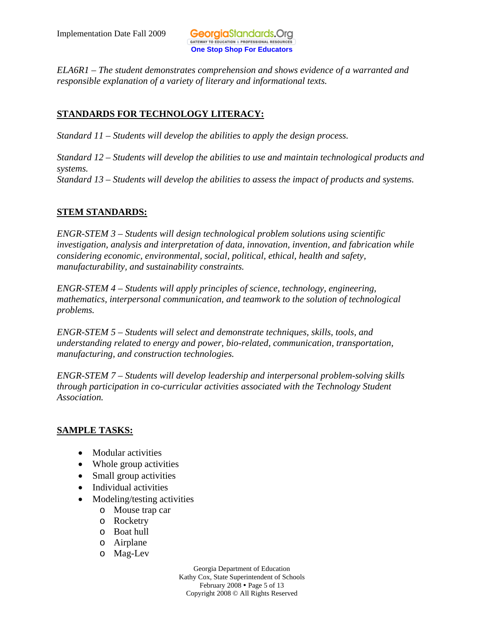*ELA6R1 – The student demonstrates comprehension and shows evidence of a warranted and responsible explanation of a variety of literary and informational texts.* 

# **STANDARDS FOR TECHNOLOGY LITERACY:**

*Standard 11 – Students will develop the abilities to apply the design process.*

*Standard 12 – Students will develop the abilities to use and maintain technological products and systems. Standard 13 – Students will develop the abilities to assess the impact of products and systems.*

# **STEM STANDARDS:**

*ENGR-STEM 3 – Students will design technological problem solutions using scientific investigation, analysis and interpretation of data, innovation, invention, and fabrication while considering economic, environmental, social, political, ethical, health and safety, manufacturability, and sustainability constraints.* 

*ENGR-STEM 4 – Students will apply principles of science, technology, engineering, mathematics, interpersonal communication, and teamwork to the solution of technological problems.* 

*ENGR-STEM 5 – Students will select and demonstrate techniques, skills, tools, and understanding related to energy and power, bio-related, communication, transportation, manufacturing, and construction technologies.* 

*ENGR-STEM 7 – Students will develop leadership and interpersonal problem-solving skills through participation in co-curricular activities associated with the Technology Student Association.* 

# **SAMPLE TASKS:**

- Modular activities
- Whole group activities
- Small group activities
- Individual activities
- Modeling/testing activities
	- o Mouse trap car
	- o Rocketry
	- o Boat hull
	- o Airplane
	- o Mag-Lev

Georgia Department of Education Kathy Cox, State Superintendent of Schools February 2008 • Page 5 of 13 Copyright 2008 © All Rights Reserved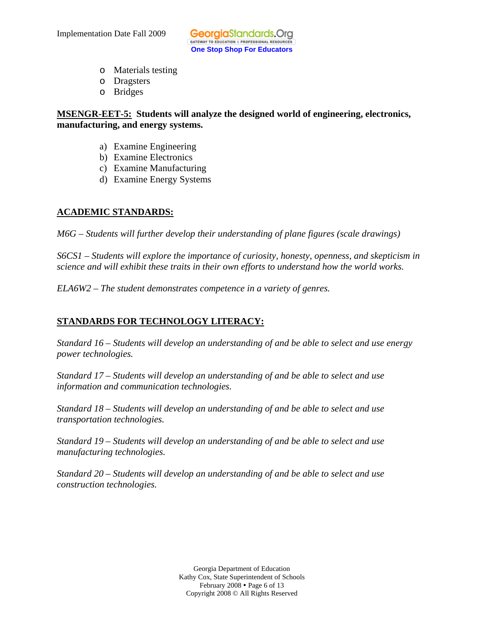- o Materials testing
- o Dragsters
- o Bridges

#### **MSENGR-EET-5: Students will analyze the designed world of engineering, electronics, manufacturing, and energy systems.**

- a) Examine Engineering
- b) Examine Electronics
- c) Examine Manufacturing
- d) Examine Energy Systems

# **ACADEMIC STANDARDS:**

*M6G – Students will further develop their understanding of plane figures (scale drawings)* 

*S6CS1 – Students will explore the importance of curiosity, honesty, openness, and skepticism in science and will exhibit these traits in their own efforts to understand how the world works.* 

*ELA6W2 – The student demonstrates competence in a variety of genres.* 

# **STANDARDS FOR TECHNOLOGY LITERACY:**

*Standard 16 – Students will develop an understanding of and be able to select and use energy power technologies.* 

*Standard 17 – Students will develop an understanding of and be able to select and use information and communication technologies.* 

*Standard 18 – Students will develop an understanding of and be able to select and use transportation technologies.* 

*Standard 19 – Students will develop an understanding of and be able to select and use manufacturing technologies.* 

*Standard 20 – Students will develop an understanding of and be able to select and use construction technologies.* 

> Georgia Department of Education Kathy Cox, State Superintendent of Schools February 2008  $\bullet$  Page 6 of 13 Copyright 2008 © All Rights Reserved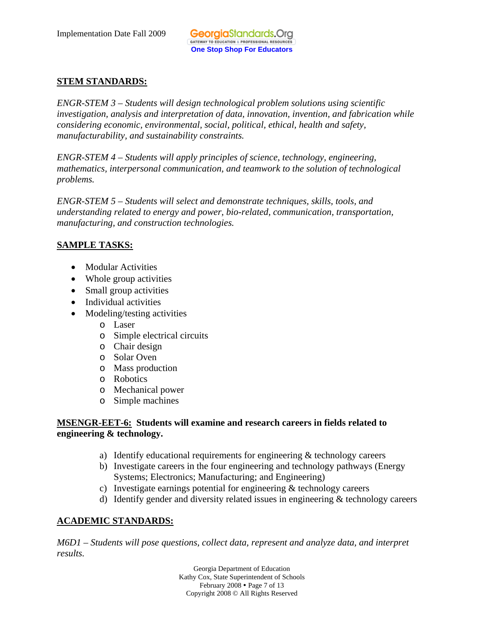# **STEM STANDARDS:**

*ENGR-STEM 3 – Students will design technological problem solutions using scientific investigation, analysis and interpretation of data, innovation, invention, and fabrication while considering economic, environmental, social, political, ethical, health and safety, manufacturability, and sustainability constraints.* 

*ENGR-STEM 4 – Students will apply principles of science, technology, engineering, mathematics, interpersonal communication, and teamwork to the solution of technological problems.* 

*ENGR-STEM 5 – Students will select and demonstrate techniques, skills, tools, and understanding related to energy and power, bio-related, communication, transportation, manufacturing, and construction technologies.* 

# **SAMPLE TASKS:**

- Modular Activities
- Whole group activities
- Small group activities
- Individual activities
- Modeling/testing activities
	- o Laser
	- o Simple electrical circuits
	- o Chair design
	- o Solar Oven
	- o Mass production
	- o Robotics
	- o Mechanical power
	- o Simple machines

#### **MSENGR-EET-6: Students will examine and research careers in fields related to engineering & technology.**

- a) Identify educational requirements for engineering & technology careers
- b) Investigate careers in the four engineering and technology pathways (Energy Systems; Electronics; Manufacturing; and Engineering)
- c) Investigate earnings potential for engineering & technology careers
- d) Identify gender and diversity related issues in engineering & technology careers

# **ACADEMIC STANDARDS:**

*M6D1 – Students will pose questions, collect data, represent and analyze data, and interpret results.* 

> Georgia Department of Education Kathy Cox, State Superintendent of Schools February 2008 • Page 7 of 13 Copyright 2008 © All Rights Reserved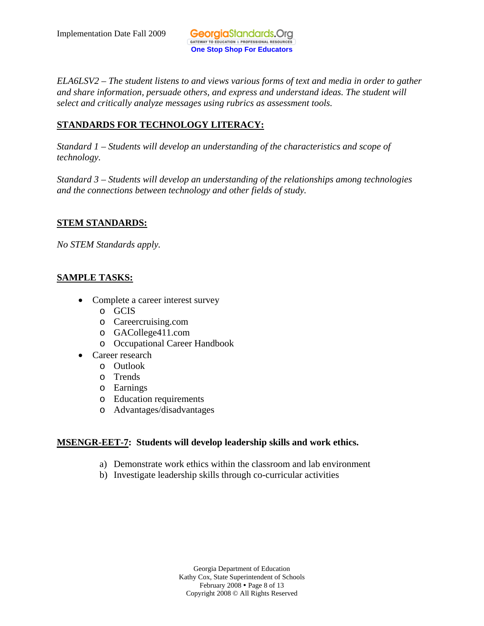*ELA6LSV2 – The student listens to and views various forms of text and media in order to gather and share information, persuade others, and express and understand ideas. The student will select and critically analyze messages using rubrics as assessment tools.* 

# **STANDARDS FOR TECHNOLOGY LITERACY:**

*Standard 1 – Students will develop an understanding of the characteristics and scope of technology.* 

*Standard 3 – Students will develop an understanding of the relationships among technologies and the connections between technology and other fields of study.* 

# **STEM STANDARDS:**

*No STEM Standards apply.* 

# **SAMPLE TASKS:**

- Complete a career interest survey
	- o GCIS
	- o Careercruising.com
	- o GACollege411.com
	- o Occupational Career Handbook
- Career research
	- o Outlook
	- o Trends
	- o Earnings
	- o Education requirements
	- o Advantages/disadvantages

# **MSENGR-EET-7: Students will develop leadership skills and work ethics.**

- a) Demonstrate work ethics within the classroom and lab environment
- b) Investigate leadership skills through co-curricular activities

Georgia Department of Education Kathy Cox, State Superintendent of Schools February 2008 • Page 8 of 13 Copyright 2008 © All Rights Reserved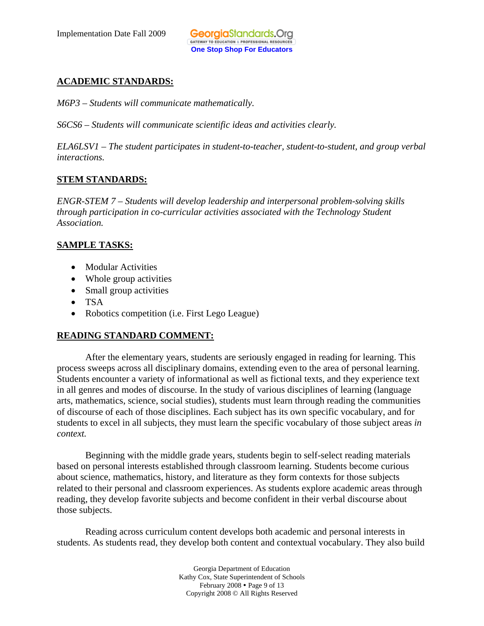# **ACADEMIC STANDARDS:**

*M6P3 – Students will communicate mathematically.* 

*S6CS6 – Students will communicate scientific ideas and activities clearly.* 

 *interactions. ELA6LSV1 – The student participates in student-to-teacher, student-to-student, and group verbal* 

#### **STEM STANDARDS:**

*ENGR-STEM 7 – Students will develop leadership and interpersonal problem-solving skills through participation in co-curricular activities associated with the Technology Student Association.* 

#### **SAMPLE TASKS:**

- Modular Activities
- Whole group activities
- Small group activities
- TSA
- Robotics competition (*i.e.* First Lego League)

# **READING STANDARD COMMENT:**

After the elementary years, students are seriously engaged in reading for learning. This process sweeps across all disciplinary domains, extending even to the area of personal learning. Students encounter a variety of informational as well as fictional texts, and they experience text in all genres and modes of discourse. In the study of various disciplines of learning (language arts, mathematics, science, social studies), students must learn through reading the communities of discourse of each of those disciplines. Each subject has its own specific vocabulary, and for students to excel in all subjects, they must learn the specific vocabulary of those subject areas *in context.* 

Beginning with the middle grade years, students begin to self-select reading materials based on personal interests established through classroom learning. Students become curious about science, mathematics, history, and literature as they form contexts for those subjects related to their personal and classroom experiences. As students explore academic areas through reading, they develop favorite subjects and become confident in their verbal discourse about those subjects.

Reading across curriculum content develops both academic and personal interests in students. As students read, they develop both content and contextual vocabulary. They also build

> Georgia Department of Education Kathy Cox, State Superintendent of Schools February 2008 • Page 9 of 13 Copyright 2008 © All Rights Reserved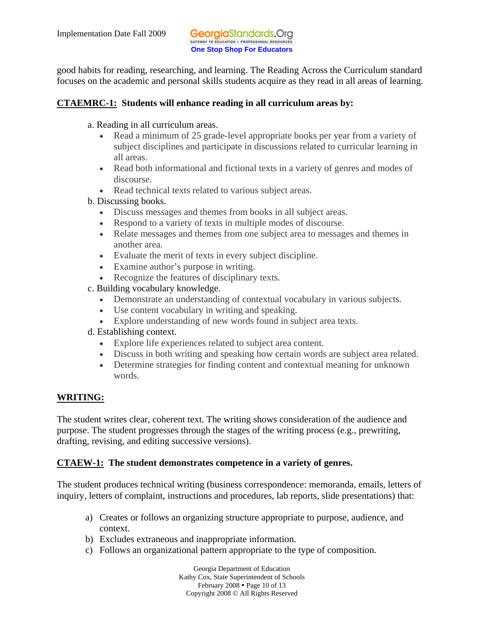good habits for reading, researching, and learning. The Reading Across the Curriculum standard focuses on the academic and personal skills students acquire as they read in all areas of learning.

#### **CTAEMRC-1: Students will enhance reading in all curriculum areas by:**

- a. Reading in all curriculum areas.
	- Read a minimum of 25 grade-level appropriate books per year from a variety of subject disciplines and participate in discussions related to curricular learning in all areas.
	- Read both informational and fictional texts in a variety of genres and modes of discourse.
	- Read technical texts related to various subject areas.
- b. Discussing books.
	- Discuss messages and themes from books in all subject areas.
	- Respond to a variety of texts in multiple modes of discourse.
	- Relate messages and themes from one subject area to messages and themes in another area.
	- Evaluate the merit of texts in every subject discipline.
	- Examine author's purpose in writing.
	- Recognize the features of disciplinary texts.
- c. Building vocabulary knowledge.
	- Demonstrate an understanding of contextual vocabulary in various subjects.
	- Use content vocabulary in writing and speaking.
	- Explore understanding of new words found in subject area texts.
- d. Establishing context.
	- • Explore life experiences related to subject area content.
	- Discuss in both writing and speaking how certain words are subject area related.
	- Determine strategies for finding content and contextual meaning for unknown words.

# **WRITING:**

The student writes clear, coherent text. The writing shows consideration of the audience and purpose. The student progresses through the stages of the writing process (e.g., prewriting, drafting, revising, and editing successive versions).

# **CTAEW-1: The student demonstrates competence in a variety of genres.**

The student produces technical writing (business correspondence: memoranda, emails, letters of inquiry, letters of complaint, instructions and procedures, lab reports, slide presentations) that:

- a) Creates or follows an organizing structure appropriate to purpose, audience, and context.
- b) Excludes extraneous and inappropriate information.
- c) Follows an organizational pattern appropriate to the type of composition.

Georgia Department of Education Kathy Cox, State Superintendent of Schools February  $2008 \cdot \text{Page } 10 \text{ of } 13$ Copyright 2008 © All Rights Reserved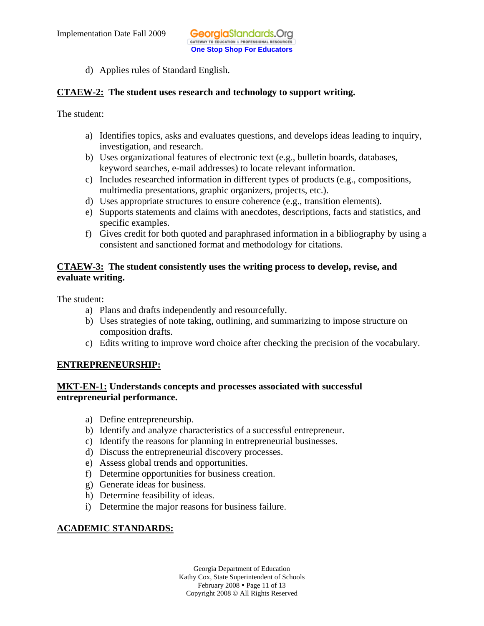d) Applies rules of Standard English.

#### **CTAEW-2: The student uses research and technology to support writing.**

The student:

- a) Identifies topics, asks and evaluates questions, and develops ideas leading to inquiry, investigation, and research.
- b) Uses organizational features of electronic text (e.g., bulletin boards, databases, keyword searches, e-mail addresses) to locate relevant information.
- c) Includes researched information in different types of products (e.g., compositions, multimedia presentations, graphic organizers, projects, etc.).
- d) Uses appropriate structures to ensure coherence (e.g., transition elements).
- e) Supports statements and claims with anecdotes, descriptions, facts and statistics, and specific examples.
- f) Gives credit for both quoted and paraphrased information in a bibliography by using a consistent and sanctioned format and methodology for citations.

#### **CTAEW-3: The student consistently uses the writing process to develop, revise, and evaluate writing.**

The student:

- a) Plans and drafts independently and resourcefully.
- b) Uses strategies of note taking, outlining, and summarizing to impose structure on composition drafts.
- c) Edits writing to improve word choice after checking the precision of the vocabulary.

# **ENTREPRENEURSHIP:**

# **MKT-EN-1: Understands concepts and processes associated with successful entrepreneurial performance.**

- a) Define entrepreneurship.
- b) Identify and analyze characteristics of a successful entrepreneur.
- c) Identify the reasons for planning in entrepreneurial businesses.
- d) Discuss the entrepreneurial discovery processes.
- e) Assess global trends and opportunities.
- f) Determine opportunities for business creation.
- g) Generate ideas for business.
- h) Determine feasibility of ideas.
- i) Determine the major reasons for business failure.

# **ACADEMIC STANDARDS:**

Georgia Department of Education Kathy Cox, State Superintendent of Schools February  $2008 \cdot \text{Page 11 of 13}$ Copyright 2008 © All Rights Reserved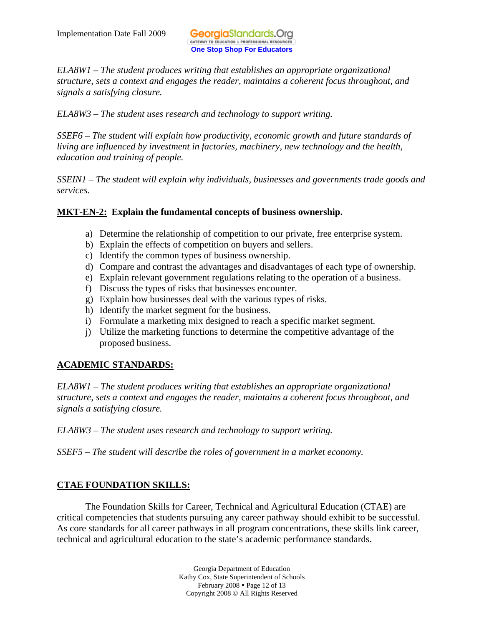*ELA8W1 – The student produces writing that establishes an appropriate organizational structure, sets a context and engages the reader, maintains a coherent focus throughout, and signals a satisfying closure.* 

*ELA8W3 – The student uses research and technology to support writing.* 

*SSEF6 – The student will explain how productivity, economic growth and future standards of living are influenced by investment in factories, machinery, new technology and the health, education and training of people.* 

*SSEIN1 – The student will explain why individuals, businesses and governments trade goods and services.* 

#### **MKT-EN-2: Explain the fundamental concepts of business ownership.**

- a) Determine the relationship of competition to our private, free enterprise system.
- b) Explain the effects of competition on buyers and sellers.
- c) Identify the common types of business ownership.
- d) Compare and contrast the advantages and disadvantages of each type of ownership.
- e) Explain relevant government regulations relating to the operation of a business.
- f) Discuss the types of risks that businesses encounter.
- g) Explain how businesses deal with the various types of risks.
- h) Identify the market segment for the business.
- i) Formulate a marketing mix designed to reach a specific market segment.
- j) Utilize the marketing functions to determine the competitive advantage of the proposed business.

# **ACADEMIC STANDARDS:**

*ELA8W1 – The student produces writing that establishes an appropriate organizational structure, sets a context and engages the reader, maintains a coherent focus throughout, and signals a satisfying closure.* 

*ELA8W3 – The student uses research and technology to support writing.* 

*SSEF5 – The student will describe the roles of government in a market economy.* 

#### **CTAE FOUNDATION SKILLS:**

The Foundation Skills for Career, Technical and Agricultural Education (CTAE) are critical competencies that students pursuing any career pathway should exhibit to be successful. As core standards for all career pathways in all program concentrations, these skills link career, technical and agricultural education to the state's academic performance standards.

> Georgia Department of Education Kathy Cox, State Superintendent of Schools February 2008 • Page 12 of 13 Copyright 2008 © All Rights Reserved